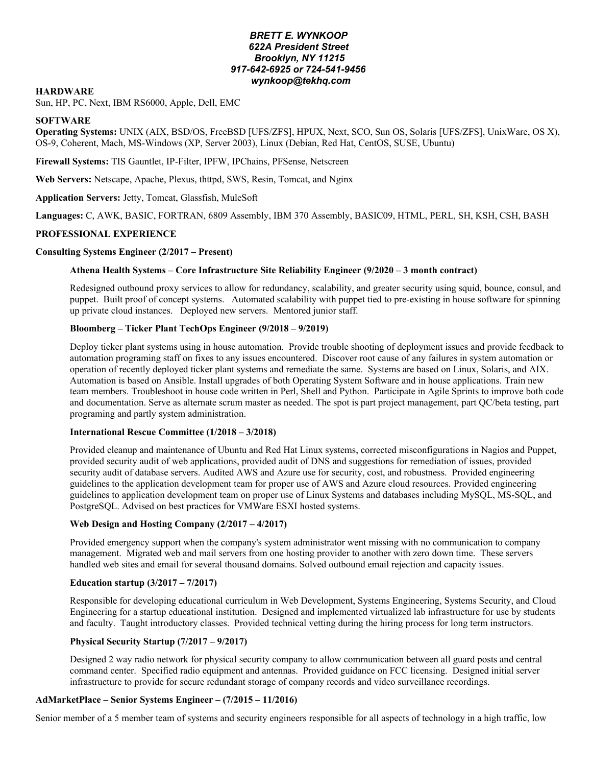# *BRETT E. WYNKOOP 622A President Street Brooklyn, NY 11215 917-642-6925 or 724-541-9456 wynkoop@tekhq.com*

### **HARDWARE**

Sun, HP, PC, Next, IBM RS6000, Apple, Dell, EMC

### **SOFTWARE**

**Operating Systems:** UNIX (AIX, BSD/OS, FreeBSD [UFS/ZFS], HPUX, Next, SCO, Sun OS, Solaris [UFS/ZFS], UnixWare, OS X), OS-9, Coherent, Mach, MS-Windows (XP, Server 2003), Linux (Debian, Red Hat, CentOS, SUSE, Ubuntu)

**Firewall Systems:** TIS Gauntlet, IP-Filter, IPFW, IPChains, PFSense, Netscreen

**Web Servers:** Netscape, Apache, Plexus, thttpd, SWS, Resin, Tomcat, and Nginx

**Application Servers:** Jetty, Tomcat, Glassfish, MuleSoft

**Languages:** C, AWK, BASIC, FORTRAN, 6809 Assembly, IBM 370 Assembly, BASIC09, HTML, PERL, SH, KSH, CSH, BASH

# **PROFESSIONAL EXPERIENCE**

### **Consulting Systems Engineer (2/2017 – Present)**

### **Athena Health Systems – Core Infrastructure Site Reliability Engineer (9/2020 – 3 month contract)**

Redesigned outbound proxy services to allow for redundancy, scalability, and greater security using squid, bounce, consul, and puppet. Built proof of concept systems. Automated scalability with puppet tied to pre-existing in house software for spinning up private cloud instances. Deployed new servers. Mentored junior staff.

### **Bloomberg – Ticker Plant TechOps Engineer (9/2018 – 9/2019)**

Deploy ticker plant systems using in house automation. Provide trouble shooting of deployment issues and provide feedback to automation programing staff on fixes to any issues encountered. Discover root cause of any failures in system automation or operation of recently deployed ticker plant systems and remediate the same. Systems are based on Linux, Solaris, and AIX. Automation is based on Ansible. Install upgrades of both Operating System Software and in house applications. Train new team members. Troubleshoot in house code written in Perl, Shell and Python. Participate in Agile Sprints to improve both code and documentation. Serve as alternate scrum master as needed. The spot is part project management, part QC/beta testing, part programing and partly system administration.

### **International Rescue Committee (1/2018 – 3/2018)**

Provided cleanup and maintenance of Ubuntu and Red Hat Linux systems, corrected misconfigurations in Nagios and Puppet, provided security audit of web applications, provided audit of DNS and suggestions for remediation of issues, provided security audit of database servers. Audited AWS and Azure use for security, cost, and robustness. Provided engineering guidelines to the application development team for proper use of AWS and Azure cloud resources. Provided engineering guidelines to application development team on proper use of Linux Systems and databases including MySQL, MS-SQL, and PostgreSQL. Advised on best practices for VMWare ESXI hosted systems.

# **Web Design and Hosting Company (2/2017 – 4/2017)**

Provided emergency support when the company's system administrator went missing with no communication to company management. Migrated web and mail servers from one hosting provider to another with zero down time. These servers handled web sites and email for several thousand domains. Solved outbound email rejection and capacity issues.

#### **Education startup (3/2017 – 7/2017)**

Responsible for developing educational curriculum in Web Development, Systems Engineering, Systems Security, and Cloud Engineering for a startup educational institution. Designed and implemented virtualized lab infrastructure for use by students and faculty. Taught introductory classes. Provided technical vetting during the hiring process for long term instructors.

# **Physical Security Startup (7/2017 – 9/2017)**

Designed 2 way radio network for physical security company to allow communication between all guard posts and central command center. Specified radio equipment and antennas. Provided guidance on FCC licensing. Designed initial server infrastructure to provide for secure redundant storage of company records and video surveillance recordings.

#### **AdMarketPlace – Senior Systems Engineer – (7/2015 – 11/2016)**

Senior member of a 5 member team of systems and security engineers responsible for all aspects of technology in a high traffic, low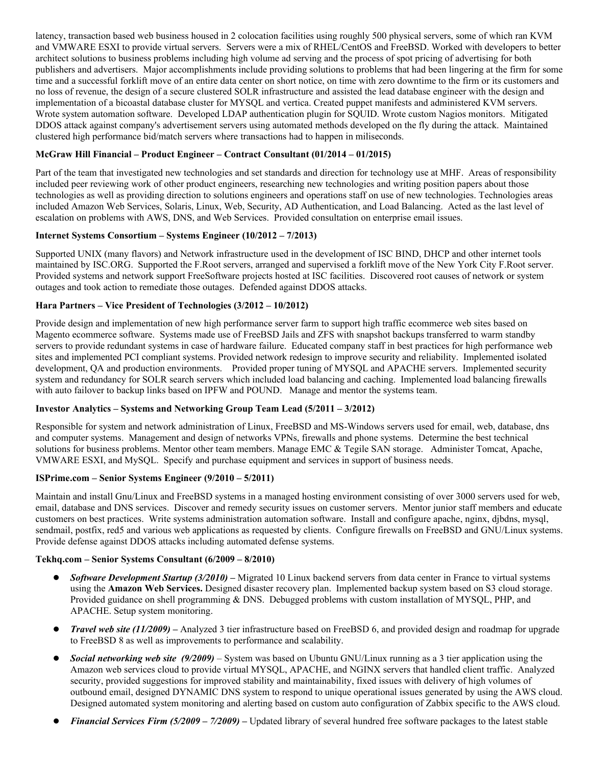latency, transaction based web business housed in 2 colocation facilities using roughly 500 physical servers, some of which ran KVM and VMWARE ESXI to provide virtual servers. Servers were a mix of RHEL/CentOS and FreeBSD. Worked with developers to better architect solutions to business problems including high volume ad serving and the process of spot pricing of advertising for both publishers and advertisers. Major accomplishments include providing solutions to problems that had been lingering at the firm for some time and a successful forklift move of an entire data center on short notice, on time with zero downtime to the firm or its customers and no loss of revenue, the design of a secure clustered SOLR infrastructure and assisted the lead database engineer with the design and implementation of a bicoastal database cluster for MYSQL and vertica. Created puppet manifests and administered KVM servers. Wrote system automation software. Developed LDAP authentication plugin for SQUID. Wrote custom Nagios monitors.Mitigated DDOS attack against company's advertisement servers using automated methods developed on the fly during the attack. Maintained clustered high performance bid/match servers where transactions had to happen in miliseconds.

# **McGraw Hill Financial – Product Engineer – Contract Consultant (01/2014 – 01/2015)**

Part of the team that investigated new technologies and set standards and direction for technology use at MHF. Areas of responsibility included peer reviewing work of other product engineers, researching new technologies and writing position papers about those technologies as well as providing direction to solutions engineers and operations staff on use of new technologies. Technologies areas included Amazon Web Services, Solaris, Linux, Web, Security, AD Authentication, and Load Balancing. Acted as the last level of escalation on problems with AWS, DNS, and Web Services. Provided consultation on enterprise email issues.

# **Internet Systems Consortium – Systems Engineer (10/2012 – 7/2013)**

Supported UNIX (many flavors) and Network infrastructure used in the development of ISC BIND, DHCP and other internet tools maintained by ISC.ORG. Supported the F.Root servers, arranged and supervised a forklift move of the New York City F.Root server. Provided systems and network support FreeSoftware projects hosted at ISC facilities. Discovered root causes of network or system outages and took action to remediate those outages. Defended against DDOS attacks.

# **Hara Partners – Vice President of Technologies (3/2012 – 10/2012)**

Provide design and implementation of new high performance server farm to support high traffic ecommerce web sites based on Magento ecommerce software. Systems made use of FreeBSD Jails and ZFS with snapshot backups transferred to warm standby servers to provide redundant systems in case of hardware failure. Educated company staff in best practices for high performance web sites and implemented PCI compliant systems. Provided network redesign to improve security and reliability. Implemented isolated development, QA and production environments. Provided proper tuning of MYSQL and APACHE servers. Implemented security system and redundancy for SOLR search servers which included load balancing and caching. Implemented load balancing firewalls with auto failover to backup links based on IPFW and POUND. Manage and mentor the systems team.

# **Investor Analytics – Systems and Networking Group Team Lead (5/2011 – 3/2012)**

Responsible for system and network administration of Linux, FreeBSD and MS-Windows servers used for email, web, database, dns and computer systems. Management and design of networks VPNs, firewalls and phone systems. Determine the best technical solutions for business problems. Mentor other team members. Manage EMC & Tegile SAN storage. Administer Tomcat, Apache, VMWARE ESXI, and MySQL. Specify and purchase equipment and services in support of business needs.

# **ISPrime.com – Senior Systems Engineer (9/2010 – 5/2011)**

Maintain and install Gnu/Linux and FreeBSD systems in a managed hosting environment consisting of over 3000 servers used for web, email, database and DNS services. Discover and remedy security issues on customer servers. Mentor junior staff members and educate customers on best practices. Write systems administration automation software. Install and configure apache, nginx, djbdns, mysql, sendmail, postfix, red5 and various web applications as requested by clients. Configure firewalls on FreeBSD and GNU/Linux systems. Provide defense against DDOS attacks including automated defense systems.

# **Tekhq.com – Senior Systems Consultant (6/2009 – 8/2010)**

- *Software Development Startup (3/2010) –* Migrated 10 Linux backend servers from data center in France to virtual systems using the **Amazon Web Services.** Designed disaster recovery plan. Implemented backup system based on S3 cloud storage. Provided guidance on shell programming & DNS. Debugged problems with custom installation of MYSQL, PHP, and APACHE. Setup system monitoring.
- *Travel web site (11/2009)* Analyzed 3 tier infrastructure based on FreeBSD 6, and provided design and roadmap for upgrade to FreeBSD 8 as well as improvements to performance and scalability.
- *Social networking web site (9/2009)*  System was based on Ubuntu GNU/Linux running as a 3 tier application using the Amazon web services cloud to provide virtual MYSQL, APACHE, and NGINX servers that handled client traffic. Analyzed security, provided suggestions for improved stability and maintainability, fixed issues with delivery of high volumes of outbound email, designed DYNAMIC DNS system to respond to unique operational issues generated by using the AWS cloud. Designed automated system monitoring and alerting based on custom auto configuration of Zabbix specific to the AWS cloud.
- *Financial Services Firm (5/2009 7/2009) –* Updated library of several hundred free software packages to the latest stable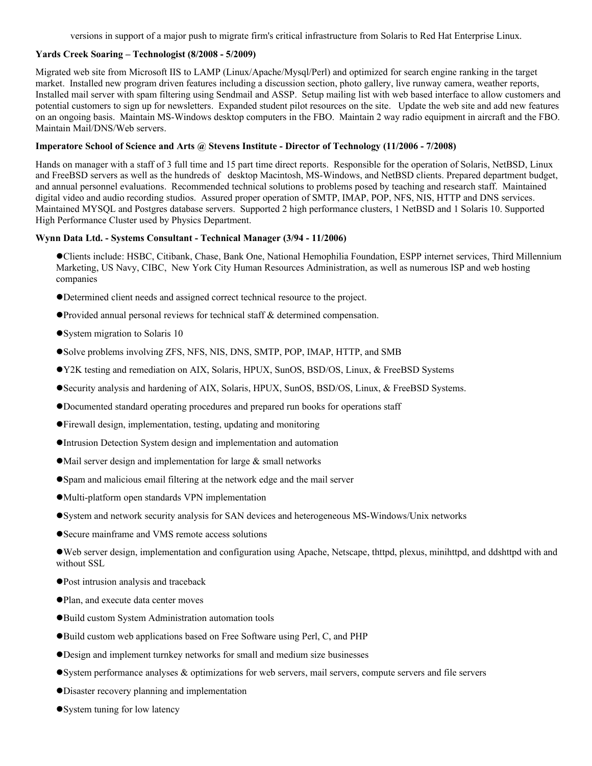versions in support of a major push to migrate firm's critical infrastructure from Solaris to Red Hat Enterprise Linux.

### **Yards Creek Soaring – Technologist (8/2008 - 5/2009)**

Migrated web site from Microsoft IIS to LAMP (Linux/Apache/Mysql/Perl) and optimized for search engine ranking in the target market. Installed new program driven features including a discussion section, photo gallery, live runway camera, weather reports, Installed mail server with spam filtering using Sendmail and ASSP. Setup mailing list with web based interface to allow customers and potential customers to sign up for newsletters. Expanded student pilot resources on the site. Update the web site and add new features on an ongoing basis. Maintain MS-Windows desktop computers in the FBO. Maintain 2 way radio equipment in aircraft and the FBO. Maintain Mail/DNS/Web servers.

### **Imperatore School of Science and Arts @ Stevens Institute - Director of Technology (11/2006 - 7/2008)**

Hands on manager with a staff of 3 full time and 15 part time direct reports. Responsible for the operation of Solaris, NetBSD, Linux and FreeBSD servers as well as the hundreds of desktop Macintosh, MS-Windows, and NetBSD clients. Prepared department budget, and annual personnel evaluations. Recommended technical solutions to problems posed by teaching and research staff. Maintained digital video and audio recording studios. Assured proper operation of SMTP, IMAP, POP, NFS, NIS, HTTP and DNS services. Maintained MYSQL and Postgres database servers. Supported 2 high performance clusters, 1 NetBSD and 1 Solaris 10. Supported High Performance Cluster used by Physics Department.

### **Wynn Data Ltd. - Systems Consultant - Technical Manager (3/94 - 11/2006)**

Clients include: HSBC, Citibank, Chase, Bank One, National Hemophilia Foundation, ESPP internet services, Third Millennium Marketing, US Navy, CIBC, New York City Human Resources Administration, as well as numerous ISP and web hosting companies

- Determined client needs and assigned correct technical resource to the project.
- Provided annual personal reviews for technical staff & determined compensation.
- System migration to Solaris 10
- Solve problems involving ZFS, NFS, NIS, DNS, SMTP, POP, IMAP, HTTP, and SMB
- Y2K testing and remediation on AIX, Solaris, HPUX, SunOS, BSD/OS, Linux, & FreeBSD Systems
- Security analysis and hardening of AIX, Solaris, HPUX, SunOS, BSD/OS, Linux, & FreeBSD Systems.
- Documented standard operating procedures and prepared run books for operations staff
- Firewall design, implementation, testing, updating and monitoring
- Intrusion Detection System design and implementation and automation
- $\bullet$  Mail server design and implementation for large  $\&$  small networks
- Spam and malicious email filtering at the network edge and the mail server
- Multi-platform open standards VPN implementation
- System and network security analysis for SAN devices and heterogeneous MS-Windows/Unix networks
- Secure mainframe and VMS remote access solutions

Web server design, implementation and configuration using Apache, Netscape, thttpd, plexus, minihttpd, and ddshttpd with and without SSL

- Post intrusion analysis and traceback
- Plan, and execute data center moves
- Build custom System Administration automation tools
- Build custom web applications based on Free Software using Perl, C, and PHP
- Design and implement turnkey networks for small and medium size businesses
- System performance analyses  $\&$  optimizations for web servers, mail servers, compute servers and file servers
- Disaster recovery planning and implementation
- System tuning for low latency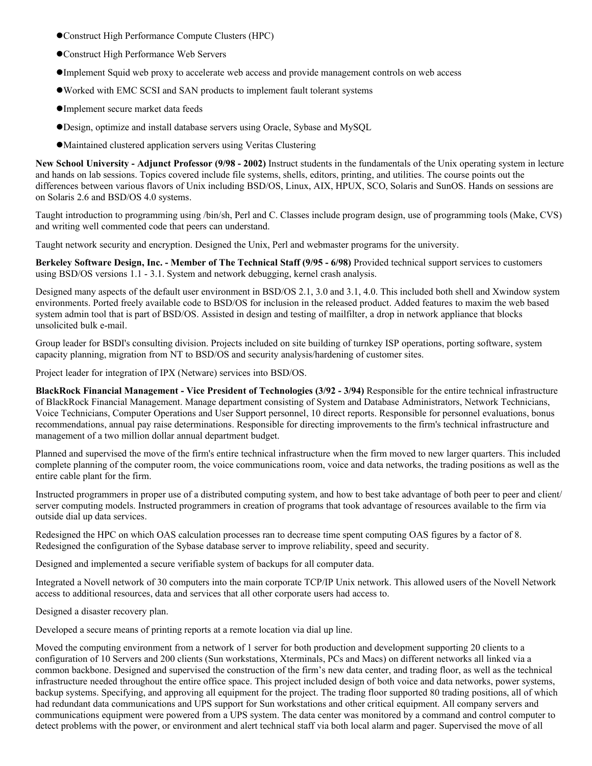- Construct High Performance Compute Clusters (HPC)
- Construct High Performance Web Servers
- Implement Squid web proxy to accelerate web access and provide management controls on web access
- Worked with EMC SCSI and SAN products to implement fault tolerant systems
- Implement secure market data feeds
- Design, optimize and install database servers using Oracle, Sybase and MySQL
- Maintained clustered application servers using Veritas Clustering

**New School University - Adjunct Professor (9/98 - 2002)** Instruct students in the fundamentals of the Unix operating system in lecture and hands on lab sessions. Topics covered include file systems, shells, editors, printing, and utilities. The course points out the differences between various flavors of Unix including BSD/OS, Linux, AIX, HPUX, SCO, Solaris and SunOS. Hands on sessions are on Solaris 2.6 and BSD/OS 4.0 systems.

Taught introduction to programming using /bin/sh, Perl and C. Classes include program design, use of programming tools (Make, CVS) and writing well commented code that peers can understand.

Taught network security and encryption. Designed the Unix, Perl and webmaster programs for the university.

**Berkeley Software Design, Inc. - Member of The Technical Staff (9/95 - 6/98)** Provided technical support services to customers using BSD/OS versions 1.1 - 3.1. System and network debugging, kernel crash analysis.

Designed many aspects of the default user environment in BSD/OS 2.1, 3.0 and 3.1, 4.0. This included both shell and Xwindow system environments. Ported freely available code to BSD/OS for inclusion in the released product. Added features to maxim the web based system admin tool that is part of BSD/OS. Assisted in design and testing of mailfilter, a drop in network appliance that blocks unsolicited bulk e-mail.

Group leader for BSDI's consulting division. Projects included on site building of turnkey ISP operations, porting software, system capacity planning, migration from NT to BSD/OS and security analysis/hardening of customer sites.

Project leader for integration of IPX (Netware) services into BSD/OS.

**BlackRock Financial Management - Vice President of Technologies (3/92 - 3/94)** Responsible for the entire technical infrastructure of BlackRock Financial Management. Manage department consisting of System and Database Administrators, Network Technicians, Voice Technicians, Computer Operations and User Support personnel, 10 direct reports. Responsible for personnel evaluations, bonus recommendations, annual pay raise determinations. Responsible for directing improvements to the firm's technical infrastructure and management of a two million dollar annual department budget.

Planned and supervised the move of the firm's entire technical infrastructure when the firm moved to new larger quarters. This included complete planning of the computer room, the voice communications room, voice and data networks, the trading positions as well as the entire cable plant for the firm.

Instructed programmers in proper use of a distributed computing system, and how to best take advantage of both peer to peer and client/ server computing models. Instructed programmers in creation of programs that took advantage of resources available to the firm via outside dial up data services.

Redesigned the HPC on which OAS calculation processes ran to decrease time spent computing OAS figures by a factor of 8. Redesigned the configuration of the Sybase database server to improve reliability, speed and security.

Designed and implemented a secure verifiable system of backups for all computer data.

Integrated a Novell network of 30 computers into the main corporate TCP/IP Unix network. This allowed users of the Novell Network access to additional resources, data and services that all other corporate users had access to.

Designed a disaster recovery plan.

Developed a secure means of printing reports at a remote location via dial up line.

Moved the computing environment from a network of 1 server for both production and development supporting 20 clients to a configuration of 10 Servers and 200 clients (Sun workstations, Xterminals, PCs and Macs) on different networks all linked via a common backbone. Designed and supervised the construction of the firm's new data center, and trading floor, as well as the technical infrastructure needed throughout the entire office space. This project included design of both voice and data networks, power systems, backup systems. Specifying, and approving all equipment for the project. The trading floor supported 80 trading positions, all of which had redundant data communications and UPS support for Sun workstations and other critical equipment. All company servers and communications equipment were powered from a UPS system. The data center was monitored by a command and control computer to detect problems with the power, or environment and alert technical staff via both local alarm and pager. Supervised the move of all